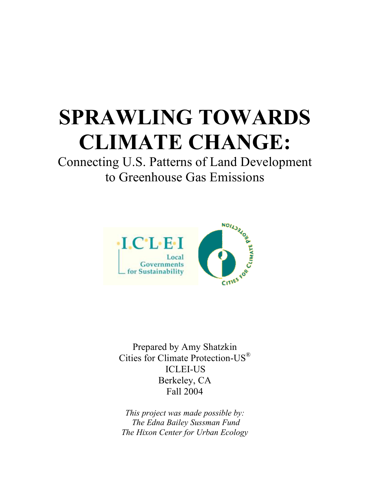# **SPRAWLING TOWARDS CLIMATE CHANGE:**

Connecting U.S. Patterns of Land Development to Greenhouse Gas Emissions



Prepared by Amy Shatzkin Cities for Climate Protection-US® ICLEI-US Berkeley, CA Fall 2004

*This project was made possible by: The Edna Bailey Sussman Fund The Hixon Center for Urban Ecology*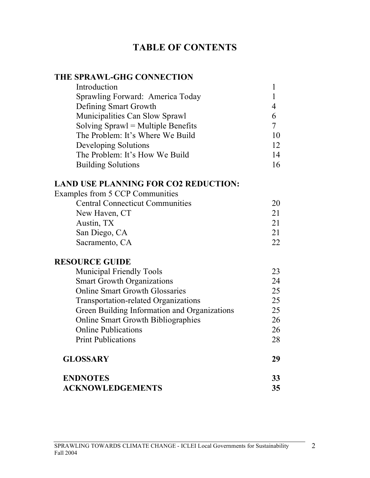# **TABLE OF CONTENTS**

# **THE SPRAWL-GHG CONNECTION**

| Introduction                         |    |
|--------------------------------------|----|
| Sprawling Forward: America Today     |    |
| Defining Smart Growth                | 4  |
| Municipalities Can Slow Sprawl       | 6  |
| Solving $Sprawl = Multiple$ Benefits |    |
| The Problem: It's Where We Build     | 10 |
| Developing Solutions                 | 12 |
| The Problem: It's How We Build       | 14 |
| <b>Building Solutions</b>            | 16 |

# **LAND USE PLANNING FOR CO2 REDUCTION:**

| Examples from 5 CCP Communities        |    |
|----------------------------------------|----|
| <b>Central Connecticut Communities</b> | 20 |
| New Haven, CT                          | 21 |
| Austin, TX                             | 21 |
| San Diego, CA                          | 21 |
| Sacramento, CA                         | つつ |

# **RESOURCE GUIDE**

| <b>Municipal Friendly Tools</b>              | 23 |
|----------------------------------------------|----|
| <b>Smart Growth Organizations</b>            | 24 |
| <b>Online Smart Growth Glossaries</b>        | 25 |
| Transportation-related Organizations         | 25 |
| Green Building Information and Organizations | 25 |
| <b>Online Smart Growth Bibliographies</b>    | 26 |
| <b>Online Publications</b>                   | 26 |
| <b>Print Publications</b>                    | 28 |
| <b>GLOSSARY</b>                              | 29 |
| <b>ENDNOTES</b>                              | 33 |
| <b>ACKNOWLEDGEMENTS</b>                      | 35 |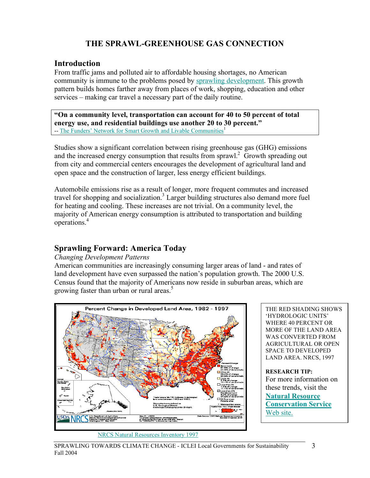# **THE SPRAWL-GREENHOUSE GAS CONNECTION**

#### **Introduction**

From traffic jams and polluted air to affordable housing shortages, no American community is immune to the problems posed by sprawling development. This growth pattern builds homes farther away from places of work, shopping, education and other services – making car travel a necessary part of the daily routine.

**"On a community level, transportation can account for 40 to 50 percent of total energy use, and residential buildings use another 20 to 30 percent."**  -- The Funders' Network for Smart Growth and Livable Communities<sup>1</sup>

Studies show a significant correlation between rising greenhouse gas (GHG) emissions and the increased energy consumption that results from sprawl.<sup>2</sup> Growth spreading out from city and commercial centers encourages the development of agricultural land and open space and the construction of larger, less energy efficient buildings.

Automobile emissions rise as a result of longer, more frequent commutes and increased travel for shopping and socialization.<sup>3</sup> Larger building structures also demand more fuel for heating and cooling. These increases are not trivial. On a community level, the majority of American energy consumption is attributed to transportation and building operations. 4

#### **Sprawling Forward: America Today**

#### *Changing Development Patterns*

American communities are increasingly consuming larger areas of land - and rates of land development have even surpassed the nation's population growth. The 2000 U.S. Census found that the majority of Americans now reside in suburban areas, which are growing faster than urban or rural areas. 5



#### NRCS Natural Resources Inventory 1997

THE RED SHADING SHOWS 'HYDROLOGIC UNITS' WHERE 40 PERCENT OR MORE OF THE LAND AREA WAS CONVERTED FROM AGRICULTURAL OR OPEN SPACE TO DEVELOPED LAND AREA. NRCS, 1997 **RESEARCH TIP:**

For more information on these trends, visit the **Natural Resource Conservation Service** Web site.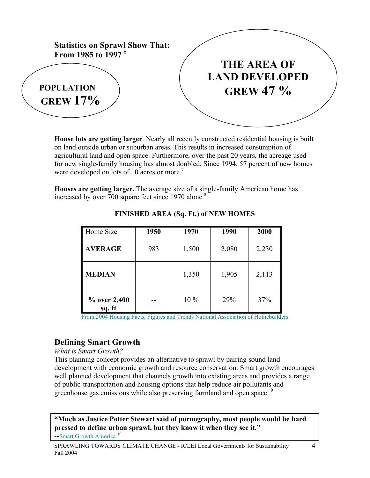

**House lots are getting larger**. Nearly all recently constructed residential housing is built on land outside urban or suburban areas. This results in increased consumption of agricultural land and open space. Furthermore, over the past 20 years, the acreage used for new single-family housing has almost doubled. Since 1994, 57 percent of new homes were developed on lots of 10 acres or more.<sup>7</sup>

**Houses are getting larger.** The average size of a single-family American home has increased by over 700 square feet since 1970 alone.<sup>8</sup>

| Home Size              | 1950 | 1970   | 1990  | 2000  |
|------------------------|------|--------|-------|-------|
| <b>AVERAGE</b>         | 983  | 1,500  | 2,080 | 2,230 |
| <b>MEDIAN</b>          |      | 1,350  | 1,905 | 2,113 |
| % over 2,400<br>sq. ft |      | $10\%$ | 29%   | 37%   |

#### **FINISHED AREA (Sq. Ft.) of NEW HOMES**

From 2004 Housing Facts, Figures and Trends National Association of Homebuilders

# **Defining Smart Growth**

#### *What is Smart Growth?*

This planning concept provides an alternative to sprawl by pairing sound land development with economic growth and resource conservation. Smart growth encourages well planned development that channels growth into existing areas and provides a range of public-transportation and housing options that help reduce air pollutants and greenhouse gas emissions while also preserving farmland and open space.<sup>9</sup>

**"Much as Justice Potter Stewart said of pornography, most people would be hard pressed to define urban sprawl, but they know it when they see it."** --Smart Growth America<sup>10</sup>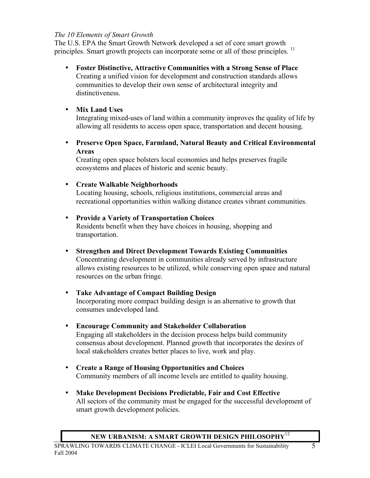#### *The 10 Elements of Smart Growth*

The U.S. EPA the Smart Growth Network developed a set of core smart growth principles. Smart growth projects can incorporate some or all of these principles. <sup>11</sup>

- **Foster Distinctive, Attractive Communities with a Strong Sense of Place** Creating a unified vision for development and construction standards allows communities to develop their own sense of architectural integrity and distinctiveness.
- **Mix Land Uses**

Integrating mixed-uses of land within a community improves the quality of life by allowing all residents to access open space, transportation and decent housing.

• **Preserve Open Space, Farmland, Natural Beauty and Critical Environmental Areas**

Creating open space bolsters local economies and helps preserves fragile ecosystems and places of historic and scenic beauty.

#### • **Create Walkable Neighborhoods**

Locating housing, schools, religious institutions, commercial areas and recreational opportunities within walking distance creates vibrant communities.

#### • **Provide a Variety of Transportation Choices**

Residents benefit when they have choices in housing, shopping and transportation.

- **Strengthen and Direct Development Towards Existing Communities** Concentrating development in communities already served by infrastructure allows existing resources to be utilized, while conserving open space and natural resources on the urban fringe.
- **Take Advantage of Compact Building Design** Incorporating more compact building design is an alternative to growth that consumes undeveloped land.
- **Encourage Community and Stakeholder Collaboration** Engaging all stakeholders in the decision process helps build community consensus about development. Planned growth that incorporates the desires of local stakeholders creates better places to live, work and play.
- **Create a Range of Housing Opportunities and Choices** Community members of all income levels are entitled to quality housing.
- **Make Development Decisions Predictable, Fair and Cost Effective** All sectors of the community must be engaged for the successful development of smart growth development policies.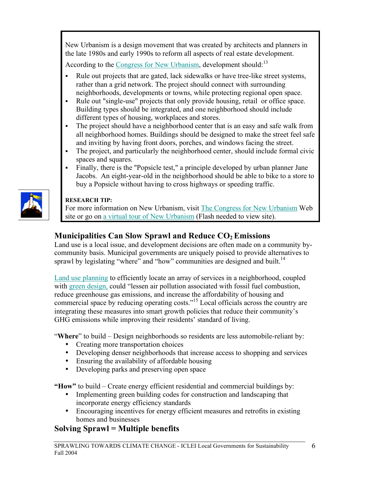New Urbanism is a design movement that was created by architects and planners in the late 1980s and early 1990s to reform all aspects of real estate development.

According to the Congress for New Urbanism, development should:<sup>13</sup>

- Rule out projects that are gated, lack sidewalks or have tree-like street systems, rather than a grid network. The project should connect with surrounding neighborhoods, developments or towns, while protecting regional open space.
- Rule out "single-use" projects that only provide housing, retail or office space. Building types should be integrated, and one neighborhood should include different types of housing, workplaces and stores.
- The project should have a neighborhood center that is an easy and safe walk from all neighborhood homes. Buildings should be designed to make the street feel safe and inviting by having front doors, porches, and windows facing the street.
- The project, and particularly the neighborhood center, should include formal civic spaces and squares.
- Finally, there is the "Popsicle test," a principle developed by urban planner Jane Jacobs. An eight-year-old in the neighborhood should be able to bike to a store to buy a Popsicle without having to cross highways or speeding traffic.



## **RESEARCH TIP:**

For more information on New Urbanism, visit The Congress for New Urbanism Web site or go on a virtual tour of New Urbanism (Flash needed to view site).

# **Municipalities Can Slow Sprawl and Reduce CO<sub>2</sub> Emissions**

Land use is a local issue, and development decisions are often made on a community bycommunity basis. Municipal governments are uniquely poised to provide alternatives to sprawl by legislating "where" and "how" communities are designed and built.<sup>14</sup>

Land use planning to efficiently locate an array of services in a neighborhood, coupled with green design, could "lessen air pollution associated with fossil fuel combustion, reduce greenhouse gas emissions, and increase the affordability of housing and commercial space by reducing operating costs." <sup>15</sup> Local officials across the country are integrating these measures into smart growth policies that reduce their community's GHG emissions while improving their residents' standard of living.

"Where" to build – Design neighborhoods so residents are less automobile-reliant by:

- Creating more transportation choices
- Developing denser neighborhoods that increase access to shopping and services
- Ensuring the availability of affordable housing
- Developing parks and preserving open space

**"How"** to build – Create energy efficient residential and commercial buildings by:

- Implementing green building codes for construction and landscaping that incorporate energy efficiency standards
- Encouraging incentives for energy efficient measures and retrofits in existing homes and businesses

# **Solving Sprawl = Multiple benefits**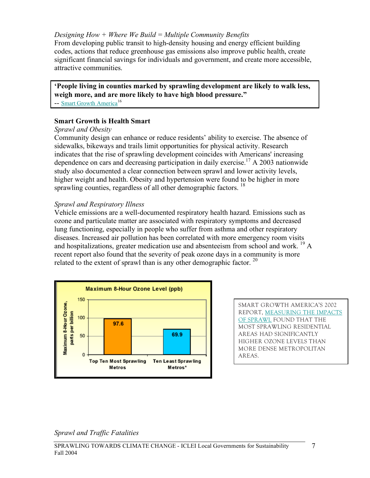#### *Designing How + Where We Build = Multiple Community Benefits*

From developing public transit to high-density housing and energy efficient building codes, actions that reduce greenhouse gas emissions also improve public health, create significant financial savings for individuals and government, and create more accessible, attractive communities.

**'People living in counties marked by sprawling development are likely to walk less, weigh more, and are more likely to have high blood pressure."**  -- Smart Growth America<sup>16</sup>

#### **Smart Growth is Health Smart**

#### *Sprawl and Obesity*

Community design can enhance or reduce residents' ability to exercise. The absence of sidewalks, bikeways and trails limit opportunities for physical activity. Research indicates that the rise of sprawling development coincides with Americans' increasing dependence on cars and decreasing participation in daily exercise. <sup>17</sup> A 2003 nationwide study also documented a clear connection between sprawl and lower activity levels, higher weight and health. Obesity and hypertension were found to be higher in more sprawling counties, regardless of all other demographic factors.  $18$ 

#### *Sprawl and Respiratory Illness*

Vehicle emissions are a well-documented respiratory health hazard. Emissions such as ozone and particulate matter are associated with respiratory symptoms and decreased lung functioning, especially in people who suffer from asthma and other respiratory diseases. Increased air pollution has been correlated with more emergency room visits and hospitalizations, greater medication use and absenteeism from school and work.  $^{19}$  A recent report also found that the severity of peak ozone days in a community is more related to the extent of sprawl than is any other demographic factor.  $20$ 



SMART GROWTH AMERICA'S 2002 REPORT, MEASURING THE IMPACTS OF SPRAWL FOUND THAT THE MOST SPRAWLING RESIDENTIAL AREAS HAD SIGNIFICANTLY HIGHER OZONE LEVELS THAN MORE DENSE METROPOLITAN AREAS.

*Sprawl and Traffic Fatalities*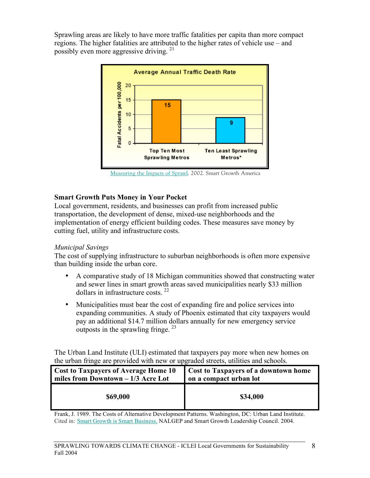Sprawling areas are likely to have more traffic fatalities per capita than more compact regions. The higher fatalities are attributed to the higher rates of vehicle use – and possibly even more aggressive driving. <sup>21</sup>



Measuring the Impacts of Sprawl. 2002. Smart Growth America

#### **Smart Growth Puts Money in Your Pocket**

Local government, residents, and businesses can profit from increased public transportation, the development of dense, mixed-use neighborhoods and the implementation of energy efficient building codes. These measures save money by cutting fuel, utility and infrastructure costs.

#### *Municipal Savings*

The cost of supplying infrastructure to suburban neighborhoods is often more expensive than building inside the urban core.

- A comparative study of 18 Michigan communities showed that constructing water and sewer lines in smart growth areas saved municipalities nearly \$33 million dollars in infrastructure costs. <sup>22</sup>
- Municipalities must bear the cost of expanding fire and police services into expanding communities. A study of Phoenix estimated that city taxpayers would pay an additional \$14.7 million dollars annually for new emergency service outposts in the sprawling fringe.  $2^3$

The Urban Land Institute (ULI) estimated that taxpayers pay more when new homes on the urban fringe are provided with new or upgraded streets, utilities and schools.

| <b>Cost to Taxpayers of Average Home 10</b> | <b>Cost to Taxpayers of a downtown home</b> |
|---------------------------------------------|---------------------------------------------|
| miles from Downtown $-1/3$ Acre Lot         | on a compact urban lot                      |
| \$69,000                                    | \$34,000                                    |

Frank, J. 1989. The Costs of Alternative Development Patterns. Washington, DC: Urban Land Institute. Cited in: Smart Growth is Smart Business. NALGEP and Smart Growth Leadership Council. 2004.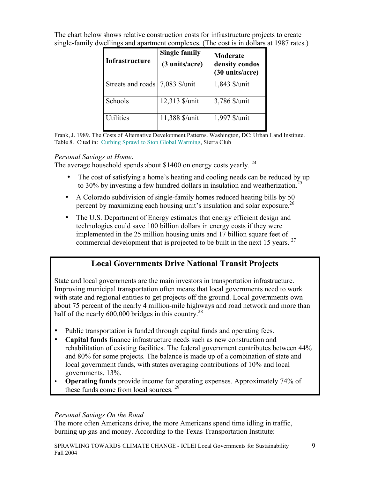The chart below shows relative construction costs for infrastructure projects to create single-family dwellings and apartment complexes. (The cost is in dollars at 1987 rates.)

| <b>Infrastructure</b> | <b>Single family</b><br>(3 units/acre) | Moderate<br>density condos<br>(30 units/acre) |
|-----------------------|----------------------------------------|-----------------------------------------------|
| Streets and roads     | 7,083 \$/unit                          | 1,843 \$/unit                                 |
| Schools               | 12,313 \$/unit                         | 3,786 \$/unit                                 |
| <b>Utilities</b>      | 11,388 \$/unit                         | 1,997 \$/unit                                 |

Frank, J. 1989. The Costs of Alternative Development Patterns. Washington, DC: Urban Land Institute. Table 8. Cited in: Curbing Sprawl to Stop Global Warming, Sierra Club

#### *Personal Savings at Home*.

The average household spends about \$1400 on energy costs yearly.  $24$ 

- The cost of satisfying a home's heating and cooling needs can be reduced by up to 30% by investing a few hundred dollars in insulation and weatherization.<sup>25</sup>
- A Colorado subdivision of single-family homes reduced heating bills by 50 percent by maximizing each housing unit's insulation and solar exposure.<sup>26</sup>
- The U.S. Department of Energy estimates that energy efficient design and technologies could save 100 billion dollars in energy costs if they were implemented in the 25 million housing units and 17 billion square feet of commercial development that is projected to be built in the next 15 years. <sup>27</sup>

# **Local Governments Drive National Transit Projects**

State and local governments are the main investors in transportation infrastructure. Improving municipal transportation often means that local governments need to work with state and regional entities to get projects off the ground. Local governments own about 75 percent of the nearly 4 million-mile highways and road network and more than half of the nearly 600,000 bridges in this country.<sup>28</sup>

- Public transportation is funded through capital funds and operating fees.
- **Capital funds** finance infrastructure needs such as new construction and rehabilitation of existing facilities. The federal government contributes between 44% and 80% for some projects. The balance is made up of a combination of state and local government funds, with states averaging contributions of 10% and local governments, 13%.
- **Operating funds** provide income for operating expenses. Approximately 74% of these funds come from local sources.<sup>29</sup>

## *Personal Savings On the Road*

The more often Americans drive, the more Americans spend time idling in traffic, burning up gas and money. According to the Texas Transportation Institute: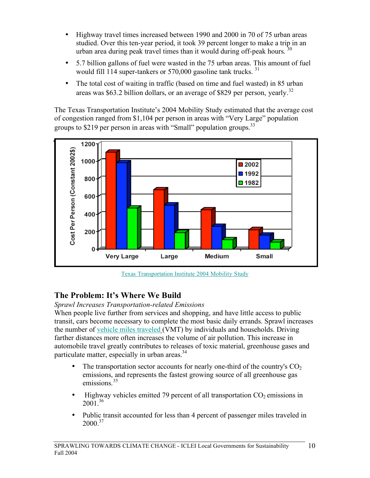- Highway travel times increased between 1990 and 2000 in 70 of 75 urban areas studied. Over this ten-year period, it took 39 percent longer to make a trip in an urban area during peak travel times than it would during off-peak hours.  $30$
- 5.7 billion gallons of fuel were wasted in the 75 urban areas. This amount of fuel would fill 114 super-tankers or 570,000 gasoline tank trucks.<sup>31</sup>
- The total cost of waiting in traffic (based on time and fuel wasted) in 85 urban areas was \$63.2 billion dollars, or an average of \$829 per person, yearly.<sup>32</sup>

The Texas Transportation Institute's 2004 Mobility Study estimated that the average cost of congestion ranged from \$1,104 per person in areas with "Very Large" population groups to \$219 per person in areas with "Small" population groups.<sup>33</sup>



Texas Transportation Institute 2004 Mobility Study

# **The Problem: It's Where We Build**

*Sprawl Increases Transportation-related Emissions*

When people live further from services and shopping, and have little access to public transit, cars become necessary to complete the most basic daily errands. Sprawl increases the number of vehicle miles traveled (VMT) by individuals and households. Driving farther distances more often increases the volume of air pollution. This increase in automobile travel greatly contributes to releases of toxic material, greenhouse gases and particulate matter, especially in urban areas.<sup>34</sup>

- The transportation sector accounts for nearly one-third of the country's  $CO<sub>2</sub>$ emissions, and represents the fastest growing source of all greenhouse gas emissions.<sup>35</sup>
- Highway vehicles emitted 79 percent of all transportation  $CO<sub>2</sub>$  emissions in  $2001^{36}$
- Public transit accounted for less than 4 percent of passenger miles traveled in  $2000^{37}$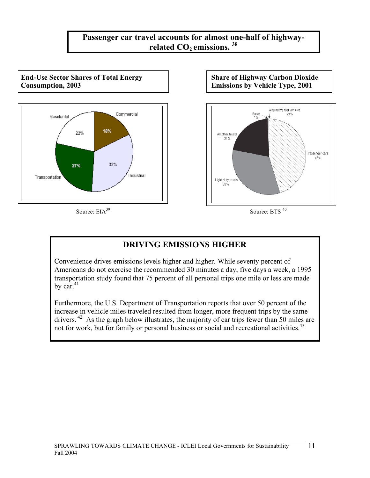# **Passenger car travel accounts for almost one-half of highwayrelated** CO<sub>2</sub> **emissions.** <sup>38</sup>

**End-Use Sector Shares of Total Energy Consumption, 2003**



**Share of Highway Carbon Dioxide Emissions by Vehicle Type, 2001**



Source: EIA<sup>39</sup> Source: BTS <sup>40</sup>

# **DRIVING EMISSIONS HIGHER**

Convenience drives emissions levels higher and higher. While seventy percent of Americans do not exercise the recommended 30 minutes a day, five days a week, a 1995 transportation study found that 75 percent of all personal trips one mile or less are made by  $\text{car}^{\,41}$ 

Furthermore, the U.S. Department of Transportation reports that over 50 percent of the increase in vehicle miles traveled resulted from longer, more frequent trips by the same drivers.<sup>42</sup> As the graph below illustrates, the majority of car trips fewer than 50 miles are not for work, but for family or personal business or social and recreational activities.<sup>43</sup>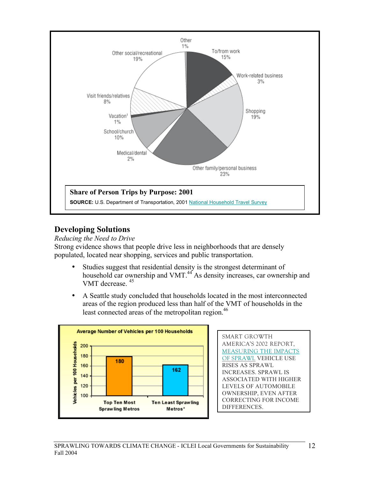

## **Developing Solutions**

*Reducing the Need to Drive*

Strong evidence shows that people drive less in neighborhoods that are densely populated, located near shopping, services and public transportation.

- Studies suggest that residential density is the strongest determinant of household car ownership and VMT.<sup>44</sup> As density increases, car ownership and VMT decrease. <sup>45</sup>
- A Seattle study concluded that households located in the most interconnected areas of the region produced less than half of the VMT of households in the least connected areas of the metropolitan region. 46



SMART GROWTH AMERICA'S 2002 REPORT, MEASURING THE IMPACTS OF SPRAWL VEHICLE USE RISES AS SPRAWL INCREASES. SPRAWL IS ASSOCIATED WITH HIGHER LEVELS OF AUTOMOBILE OWNERSHIP, EVEN AFTER CORRECTING FOR INCOME DIFFERENCES.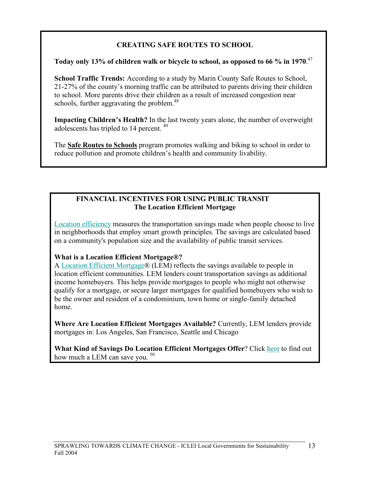## **CREATING SAFE ROUTES TO SCHOOL**

#### **Today only 13% of children walk or bicycle to school, as opposed to 66 % in 1970**. 47

**School Traffic Trends:** According to a study by Marin County Safe Routes to School, 21-27% of the county's morning traffic can be attributed to parents driving their children to school. More parents drive their children as a result of increased congestion near schools, further aggravating the problem.<sup>48</sup>

**Impacting Children's Health?** In the last twenty years alone, the number of overweight adolescents has tripled to 14 percent. <sup>49</sup>

The **Safe Routes to Schools** program promotes walking and biking to school in order to reduce pollution and promote children's health and community livability.

## **FINANCIAL INCENTIVES FOR USING PUBLIC TRANSIT The Location Efficient Mortgage**

Location efficiency measures the transportation savings made when people choose to live in neighborhoods that employ smart growth principles. The savings are calculated based on a community's population size and the availability of public transit services.

## **What is a Location Efficient Mortgage®?**

A Location Efficient Mortgage® (LEM) reflects the savings available to people in location efficient communities. LEM lenders count transportation savings as additional income homebuyers. This helps provide mortgages to people who might not otherwise qualify for a mortgage, or secure larger mortgages for qualified homebuyers who wish to be the owner and resident of a condominium, town home or single-family detached home.

**Where Are Location Efficient Mortgages Available?** Currently, LEM lenders provide mortgages in: Los Angeles, San Francisco, Seattle and Chicago

**What Kind of Savings Do Location Efficient Mortgages Offer**? Click here to find out how much a LEM can save you.<sup>50</sup>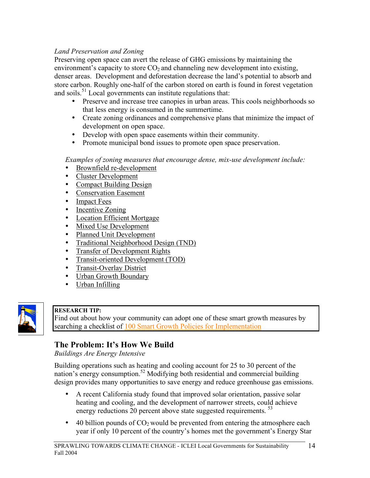## *Land Preservation and Zoning*

Preserving open space can avert the release of GHG emissions by maintaining the environment's capacity to store  $CO<sub>2</sub>$  and channeling new development into existing, denser areas. Development and deforestation decrease the land's potential to absorb and store carbon. Roughly one-half of the carbon stored on earth is found in forest vegetation and soils.<sup>51</sup> Local governments can institute regulations that:

- Preserve and increase tree canopies in urban areas. This cools neighborhoods so that less energy is consumed in the summertime.
- Create zoning ordinances and comprehensive plans that minimize the impact of development on open space.
- Develop with open space easements within their community.
- Promote municipal bond issues to promote open space preservation.

*Examples of zoning measures that encourage dense, mix-use development include:*

- Brownfield re-development<br>• Cluster Development
- Cluster Development
- Compact Building Design
- Conservation Easement<br>• Imnact Fees
- **Impact Fees**
- Incentive Zoning
- Location Efficient Mortgage
- Mixed Use Development
- Planned Unit Development
- Traditional Neighborhood Design (TND)
- Transfer of Development Rights
- Transit-oriented Development (TOD)
- Transit-Overlay District
- Urban Growth Boundary
- Urban Infilling



#### **RESEARCH TIP:**

Find out about how your community can adopt one of these smart growth measures by searching a checklist of 100 Smart Growth Policies for Implementation

# **The Problem: It's How We Build**

*Buildings Are Energy Intensive*

Building operations such as heating and cooling account for 25 to 30 percent of the nation's energy consumption.<sup>52</sup> Modifying both residential and commercial building design provides many opportunities to save energy and reduce greenhouse gas emissions.

- A recent California study found that improved solar orientation, passive solar heating and cooling, and the development of narrower streets, could achieve energy reductions 20 percent above state suggested requirements.<sup>53</sup>
- 40 billion pounds of  $CO<sub>2</sub>$  would be prevented from entering the atmosphere each year if only 10 percent of the country's homes met the government's Energy Star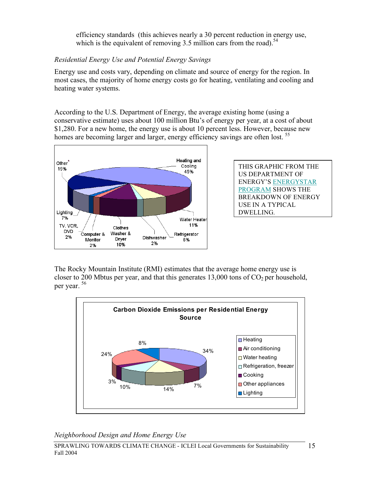efficiency standards (this achieves nearly a 30 percent reduction in energy use, which is the equivalent of removing 3.5 million cars from the road).<sup>54</sup>

# *Residential Energy Use and Potential Energy Savings*

Energy use and costs vary, depending on climate and source of energy for the region. In most cases, the majority of home energy costs go for heating, ventilating and cooling and heating water systems.

According to the U.S. Department of Energy, the average existing home (using a conservative estimate) uses about 100 million Btu's of energy per year, at a cost of about \$1,280. For a new home, the energy use is about 10 percent less. However, because new homes are becoming larger and larger, energy efficiency savings are often lost.<sup>55</sup>



THIS GRAPHIC FROM THE US DEPARTMENT OF ENERGY'S ENERGYSTAR PROGRAM SHOWS THE BREAKDOWN OF ENERGY USE IN A TYPICAL DWELLING.

The Rocky Mountain Institute (RMI) estimates that the average home energy use is closer to 200 Mbtus per year, and that this generates  $13,000$  tons of  $CO<sub>2</sub>$  per household, per year. <sup>56</sup>



*Neighborhood Design and Home Energy Use*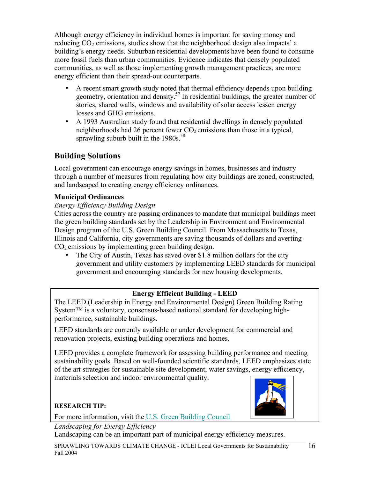Although energy efficiency in individual homes is important for saving money and reducing  $CO<sub>2</sub>$  emissions, studies show that the neighborhood design also impacts' a building's energy needs. Suburban residential developments have been found to consume more fossil fuels than urban communities*.* Evidence indicates that densely populated communities, as well as those implementing growth management practices, are more energy efficient than their spread-out counterparts.

- A recent smart growth study noted that thermal efficiency depends upon building geometry, orientation and density. <sup>57</sup> In residential buildings, the greater number of stories, shared walls, windows and availability of solar access lessen energy losses and GHG emissions.
- A 1993 Australian study found that residential dwellings in densely populated neighborhoods had 26 percent fewer  $CO<sub>2</sub>$  emissions than those in a typical, sprawling suburb built in the 1980s.<sup>58</sup>

# **Building Solutions**

Local government can encourage energy savings in homes, businesses and industry through a number of measures from regulating how city buildings are zoned, constructed, and landscaped to creating energy efficiency ordinances.

## **Municipal Ordinances**

## *Energy Efficiency Building Design*

Cities across the country are passing ordinances to mandate that municipal buildings meet the green building standards set by the Leadership in Environment and Environmental Design program of the U.S. Green Building Council. From Massachusetts to Texas, Illinois and California, city governments are saving thousands of dollars and averting  $CO<sub>2</sub>$  emissions by implementing green building design.

• The City of Austin, Texas has saved over \$1.8 million dollars for the city government and utility customers by implementing LEED standards for municipal government and encouraging standards for new housing developments.

# **Energy Efficient Building - LEED**

The LEED (Leadership in Energy and Environmental Design) Green Building Rating System™ is a voluntary, consensus-based national standard for developing highperformance, sustainable buildings.

LEED standards are currently available or under development for commercial and renovation projects, existing building operations and homes.

LEED provides a complete framework for assessing building performance and meeting sustainability goals. Based on well-founded scientific standards, LEED emphasizes state of the art strategies for sustainable site development, water savings, energy efficiency, materials selection and indoor environmental quality.



## **RESEARCH TIP:**

For more information, visit the U.S. Green Building Council

*Landscaping for Energy Efficiency*

Landscaping can be an important part of municipal energy efficiency measures.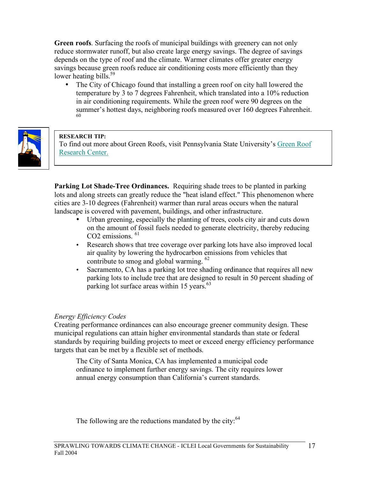**Green roofs**. Surfacing the roofs of municipal buildings with greenery can not only reduce stormwater runoff, but also create large energy savings. The degree of savings depends on the type of roof and the climate. Warmer climates offer greater energy savings because green roofs reduce air conditioning costs more efficiently than they lower heating bills.<sup>59</sup>

• The City of Chicago found that installing a green roof on city hall lowered the temperature by 3 to 7 degrees Fahrenheit, which translated into a 10% reduction in air conditioning requirements. While the green roof were 90 degrees on the summer's hottest days, neighboring roofs measured over <sup>160</sup> degrees Fahrenheit. <sup>60</sup>



#### **RESEARCH TIP:**

To find out more about Green Roofs, visit Pennsylvania State University's Green Roof Research Center.

**Parking Lot Shade-Tree Ordinances.** Requiring shade trees to be planted in parking lots and along streets can greatly reduce the "heat island effect." This phenomenon where cities are 3-10 degrees (Fahrenheit) warmer than rural areas occurs when the natural landscape is covered with pavement, buildings, and other infrastructure.

- Urban greening, especially the planting of trees, cools city air and cuts down on the amount of fossil fuels needed to generate electricity, thereby reducing CO<sub>2</sub> emissions.<sup>61</sup>
- Research shows that tree coverage over parking lots have also improved local air quality by lowering the hydrocarbon emissions from vehicles that contribute to smog and global warming. <sup>62</sup>
- Sacramento, CA has a parking lot tree shading ordinance that requires all new parking lots to include tree that are designed to result in 50 percent shading of parking lot surface areas within 15 years.<sup>63</sup>

#### *Energy Efficiency Codes*

Creating performance ordinances can also encourage greener community design. These municipal regulations can attain higher environmental standards than state or federal standards by requiring building projects to meet or exceed energy efficiency performance targets that can be met by a flexible set of methods.

The City of Santa Monica, CA has implemented a municipal code ordinance to implement further energy savings. The city requires lower annual energy consumption than California's current standards.

The following are the reductions mandated by the city: $64$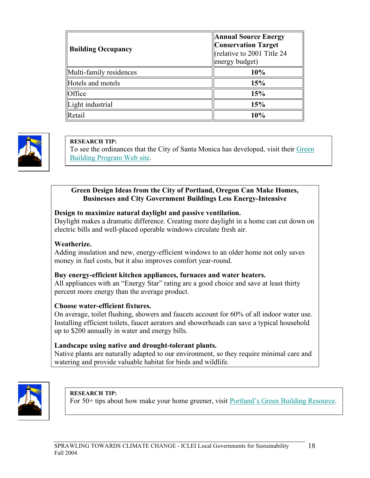| <b>Building Occupancy</b> | <b>Annual Source Energy</b><br><b>Conservation Target</b><br>(relative to 2001 Title 24<br>energy budget) |
|---------------------------|-----------------------------------------------------------------------------------------------------------|
| Multi-family residences   | 10%                                                                                                       |
| Hotels and motels         | 15%                                                                                                       |
| Office                    | 15%                                                                                                       |
| Light industrial          | 15%                                                                                                       |
| Retail                    | 10%                                                                                                       |



#### **RESEARCH TIP:**

To see the ordinances that the City of Santa Monica has developed, visit their Green Building Program Web site.

#### **Green Design Ideas from the City of Portland, Oregon Can Make Homes, Businesses and City Government Buildings Less Energy-Intensive**

#### **Design to maximize natural daylight and passive ventilation.**

Daylight makes a dramatic difference. Creating more daylight in a home can cut down on electric bills and well-placed operable windows circulate fresh air.

#### **Weatherize.**

Adding insulation and new, energy-efficient windows to an older home not only saves money in fuel costs, but it also improves comfort year-round.

#### **Buy energy-efficient kitchen appliances, furnaces and water heaters.**

All appliances with an "Energy Star" rating are a good choice and save at least thirty percent more energy than the average product.

#### **Choose water-efficient fixtures.**

On average, toilet flushing, showers and faucets account for 60% of all indoor water use. Installing efficient toilets, faucet aerators and showerheads can save a typical household up to \$200 annually in water and energy bills.

#### **Landscape using native and drought-tolerant plants.**

Native plants are naturally adapted to our environment, so they require minimal care and watering and provide valuable habitat for birds and wildlife.



**RESEARCH TIP:**

For 50+ tips about how make your home greener, visit Portland's Green Building Resource.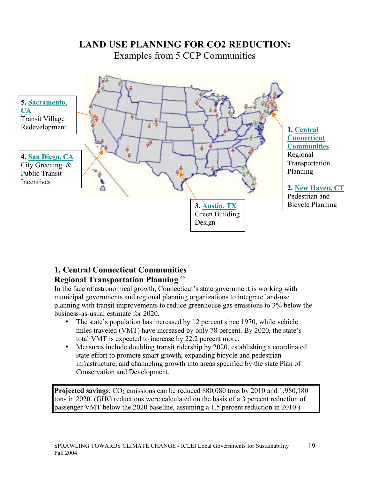

# **LAND USE PLANNING FOR CO2 REDUCTION:**

# **1. Central Connecticut Communities Regional Transportation Planning** *<sup>65</sup>*

In the face of astronomical growth, Connecticut's state government is working with municipal governments and regional planning organizations to integrate land-use planning with transit improvements to reduce greenhouse gas emissions to 3% below the business-as-usual estimate for 2020.

- The state's population has increased by 12 percent since 1970, while vehicle miles traveled (VMT) have increased by only 78 percent. By 2020, the state's total VMT is expected to increase by 22.2 percent more.
- Measures include doubling transit ridership by 2020, establishing a coordinated state effort to promote smart growth, expanding bicycle and pedestrian infrastructure, and channeling growth into areas specified by the state Plan of Conservation and Development.

**Projected savings:**  $CO_2$  emissions can be reduced 880,080 tons by 2010 and 1,980,180 tons in 2020. (GHG reductions were calculated on the basis of a 3 percent reduction of passenger VMT below the 2020 baseline, assuming a 1.5 percent reduction in 2010.)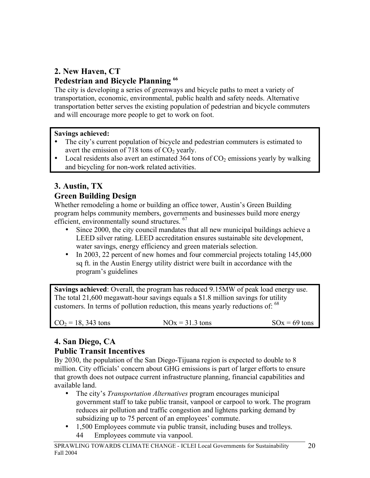# **2. New Haven, CT Pedestrian and Bicycle Planning <sup>66</sup>**

The city is developing a series of greenways and bicycle paths to meet a variety of transportation, economic, environmental, public health and safety needs. Alternative transportation better serves the existing population of pedestrian and bicycle commuters and will encourage more people to get to work on foot.

## **Savings achieved:**

- The city's current population of bicycle and pedestrian commuters is estimated to avert the emission of 718 tons of  $CO<sub>2</sub>$  yearly.
- Local residents also avert an estimated 364 tons of  $CO<sub>2</sub>$  emissions yearly by walking and bicycling for non-work related activities.

# **3. Austin, TX**

## **Green Building Design**

Whether remodeling a home or building an office tower, Austin's Green Building program helps community members, governments and businesses build more energy efficient, environmentally sound structures. <sup>67</sup>

- Since 2000, the city council mandates that all new municipal buildings achieve a LEED silver rating. LEED accreditation ensures sustainable site development, water savings, energy efficiency and green materials selection.
- In 2003, 22 percent of new homes and four commercial projects totaling 145,000 sq ft. in the Austin Energy utility district were built in accordance with the program's guidelines

**Savings achieved**: Overall, the program has reduced 9.15MW of peak load energy use. The total 21,600 megawatt-hour savings equals a \$1.8 million savings for utility customers. In terms of pollution reduction, this means yearly reductions of: <sup>68</sup>

| $CO2 = 18, 343$ tons<br>$NOx = 31.3$ tons | $\text{SOx} = 69 \text{ tons}$ |
|-------------------------------------------|--------------------------------|
|-------------------------------------------|--------------------------------|

# **4. San Diego, CA Public Transit Incentives**

By 2030, the population of the San Diego-Tijuana region is expected to double to 8 million. City officials' concern about GHG emissions is part of larger efforts to ensure that growth does not outpace current infrastructure planning, financial capabilities and available land.

- The city's *Transportation Alternatives* program encourages municipal government staff to take public transit, vanpool or carpool to work. The program reduces air pollution and traffic congestion and lightens parking demand by subsidizing up to 75 percent of an employees' commute.
- 1,500 Employees commute via public transit, including buses and trolleys. 44 Employees commute via vanpool.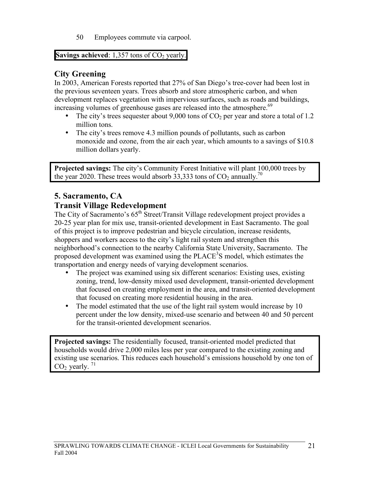50 Employees commute via carpool.

**Savings achieved**:  $1,357$  tons of  $CO<sub>2</sub>$  yearly.

# **City Greening**

In 2003, American Forests reported that 27% of San Diego's tree-cover had been lost in the previous seventeen years. Trees absorb and store atmospheric carbon, and when development replaces vegetation with impervious surfaces, such as roads and buildings, increasing volumes of greenhouse gases are released into the atmosphere.<sup>69</sup>

- The city's trees sequester about 9,000 tons of  $CO<sub>2</sub>$  per year and store a total of 1.2 million tons.
- The city's trees remove 4.3 million pounds of pollutants, such as carbon monoxide and ozone, from the air each year, which amounts to a savings of \$10.8 million dollars yearly.

**Projected savings:** The city's Community Forest Initiative will plant 100,000 trees by the year 2020. These trees would absorb 33,333 tons of  $CO<sub>2</sub>$  annually.<sup>70</sup>

# **5. Sacramento, CA Transit Village Redevelopment**

The City of Sacramento's  $65<sup>th</sup>$  Street/Transit Village redevelopment project provides a 20-25 year plan for mix use, transit-oriented development in East Sacramento. The goal of this project is to improve pedestrian and bicycle circulation, increase residents, shoppers and workers access to the city's light rail system and strengthen this neighborhood's connection to the nearby California State University, Sacramento. The proposed development was examined using the PLACE<sup>3</sup>S model, which estimates the transportation and energy needs of varying development scenarios.

- The project was examined using six different scenarios: Existing uses, existing zoning, trend, low-density mixed used development, transit-oriented development that focused on creating employment in the area, and transit-oriented development that focused on creating more residential housing in the area.
- The model estimated that the use of the light rail system would increase by 10 percent under the low density, mixed-use scenario and between 40 and 50 percent for the transit-oriented development scenarios.

**Projected savings:** The residentially focused, transit-oriented model predicted that households would drive 2,000 miles less per year compared to the existing zoning and existing use scenarios. This reduces each household's emissions household by one ton of  $CO<sub>2</sub>$  yearly.<sup>71</sup>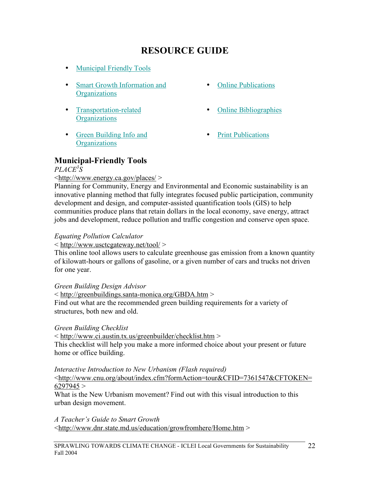# **RESOURCE GUIDE**

- Municipal Friendly Tools
- Smart Growth Information and **Organizations**
- Transportation-related **Organizations**
- Green Building Info and **Organizations**
- Online Publications
- Online Bibliographies
- Print Publications

# **Municipal-Friendly Tools**

## *PLACE3 S*

#### <http://www.energy.ca.gov/places/ >

Planning for Community, Energy and Environmental and Economic sustainability is an innovative planning method that fully integrates focused public participation, community development and design, and computer-assisted quantification tools (GIS) to help communities produce plans that retain dollars in the local economy, save energy, attract jobs and development, reduce pollution and traffic congestion and conserve open space.

#### *Equating Pollution Calculator*

< http://www.usctcgateway.net/tool/ >

This online tool allows users to calculate greenhouse gas emission from a known quantity of kilowatt-hours or gallons of gasoline, or a given number of cars and trucks not driven for one year.

*Green Building Design Advisor*

< http://greenbuildings.santa-monica.org/GBDA.htm >

Find out what are the recommended green building requirements for a variety of structures, both new and old.

#### *Green Building Checklist*

< http://www.ci.austin.tx.us/greenbuilder/checklist.htm >

This checklist will help you make a more informed choice about your present or future home or office building.

*Interactive Introduction to New Urbanism (Flash required)*

<http://www.cnu.org/about/index.cfm?formAction=tour&CFID=7361547&CFTOKEN=  $6297945 >$ 

What is the New Urbanism movement? Find out with this visual introduction to this urban design movement.

*A Teacher's Guide to Smart Growth*  <http://www.dnr.state.md.us/education/growfromhere/Home.htm >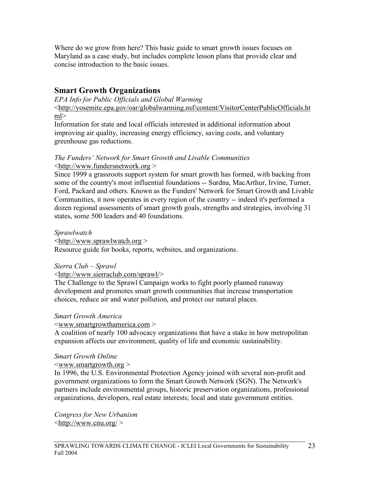Where do we grow from here? This basic guide to smart growth issues focuses on Maryland as a case study, but includes complete lesson plans that provide clear and concise introduction to the basic issues.

# **Smart Growth Organizations**

*EPA Info for Public Officials and Global Warming* 

<http://yosemite.epa.gov/oar/globalwarming.nsf/content/VisitorCenterPublicOfficials.ht ml>

Information for state and local officials interested in additional information about improving air quality, increasing energy efficiency, saving costs, and voluntary greenhouse gas reductions.

#### *The Funders' Network for Smart Growth and Livable Communities* <http://www.fundersnetwork.org >

Since 1999 a grassroots support system for smart growth has formed, with backing from some of the country's most influential foundations -- Surdna, MacArthur, Irvine, Turner, Ford, Packard and others. Known as the Funders' Network for Smart Growth and Livable Communities, it now operates in every region of the country -- indeed it's performed a dozen regional assessments of smart growth goals, strengths and strategies, involving 31 states, some 500 leaders and 40 foundations.

#### *Sprawlwatch*

 $\frac{\text{http://www.sprawlwatch.org}}{}$ 

Resource guide for books, reports, websites, and organizations.

#### *Sierra Club – Sprawl*

#### <http://www.sierraclub.com/sprawl/>

The Challenge to the Sprawl Campaign works to fight poorly planned runaway development and promotes smart growth communities that increase transportation choices, reduce air and water pollution, and protect our natural places.

#### *Smart Growth America*

<www.smartgrowthamerica.com >

A coalition of nearly 100 advocacy organizations that have a stake in how metropolitan expansion affects our environment, quality of life and economic sustainability.

#### *Smart Growth Online*

#### $\leq$ www.smartgrowth.org  $>$

In 1996, the U.S. Environmental Protection Agency joined with several non-profit and government organizations to form the Smart Growth Network (SGN). The Network's partners include environmental groups, historic preservation organizations, professional organizations, developers, real estate interests; local and state government entities.

*Congress for New Urbanism*  $\langle$ http://www.cnu.org/ $>$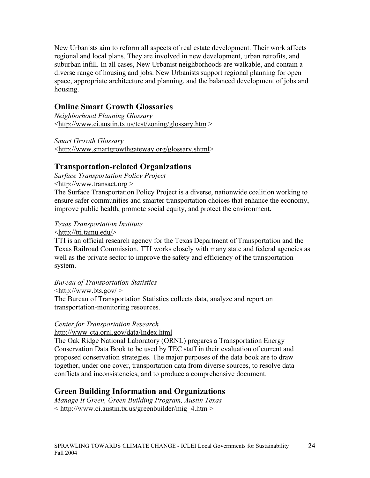New Urbanists aim to reform all aspects of real estate development. Their work affects regional and local plans. They are involved in new development, urban retrofits, and suburban infill. In all cases, New Urbanist neighborhoods are walkable, and contain a diverse range of housing and jobs. New Urbanists support regional planning for open space, appropriate architecture and planning, and the balanced development of jobs and housing.

# **Online Smart Growth Glossaries**

*Neighborhood Planning Glossary* <http://www.ci.austin.tx.us/test/zoning/glossary.htm >

*Smart Growth Glossary* <http://www.smartgrowthgateway.org/glossary.shtml>

# **Transportation-related Organizations**

*Surface Transportation Policy Project* <http://www.transact.org >

The Surface Transportation Policy Project is a diverse, nationwide coalition working to ensure safer communities and smarter transportation choices that enhance the economy, improve public health, promote social equity, and protect the environment.

## *Texas Transportation Institute*

<http://tti.tamu.edu/>

TTI is an official research agency for the Texas Department of Transportation and the Texas Railroad Commission. TTI works closely with many state and federal agencies as well as the private sector to improve the safety and efficiency of the transportation system.

*Bureau of Transportation Statistics*

 $\langle$ http://www.bts.gov/  $>$ 

The Bureau of Transportation Statistics collects data, analyze and report on transportation-monitoring resources.

## *Center for Transportation Research*

http://www-cta.ornl.gov/data/Index.html

The Oak Ridge National Laboratory (ORNL) prepares a Transportation Energy Conservation Data Book to be used by TEC staff in their evaluation of current and proposed conservation strategies. The major purposes of the data book are to draw together, under one cover, transportation data from diverse sources, to resolve data conflicts and inconsistencies, and to produce a comprehensive document.

# **Green Building Information and Organizations**

*Manage It Green, Green Building Program, Austin Texas*  $\langle$ http://www.ci.austin.tx.us/greenbuilder/mig\_4.htm  $>$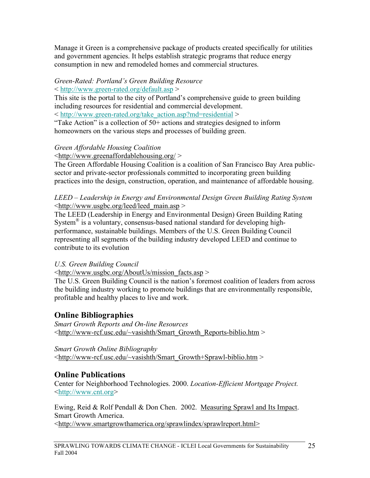Manage it Green is a comprehensive package of products created specifically for utilities and government agencies. It helps establish strategic programs that reduce energy consumption in new and remodeled homes and commercial structures.

## *Green-Rated: Portland's Green Building Resource*

< http://www.green-rated.org/default.asp >

This site is the portal to the city of Portland's comprehensive guide to green building including resources for residential and commercial development.

< http://www.green-rated.org/take\_action.asp?md=residential >

"Take Action" is a collection of 50+ actions and strategies designed to inform homeowners on the various steps and processes of building green.

## *Green Affordable Housing Coalition*

 $\langle$ http://www.greenaffordablehousing.org/  $>$ 

The Green Affordable Housing Coalition is a coalition of San Francisco Bay Area publicsector and private-sector professionals committed to incorporating green building practices into the design, construction, operation, and maintenance of affordable housing.

#### *LEED – Leadership in Energy and Environmental Design Green Building Rating System*  $\langle \frac{http://www.usgbc.org/lead/lead<sub>main.asp</sub>|$

The LEED (Leadership in Energy and Environmental Design) Green Building Rating System<sup>®</sup> is a voluntary, consensus-based national standard for developing highperformance, sustainable buildings. Members of the U.S. Green Building Council representing all segments of the building industry developed LEED and continue to contribute to its evolution

## *U.S. Green Building Council*

 $\lt$ http://www.usgbc.org/AboutUs/mission facts.asp >

The U.S. Green Building Council is the nation's foremost coalition of leaders from across the building industry working to promote buildings that are environmentally responsible, profitable and healthy places to live and work.

# **Online Bibliographies**

*Smart Growth Reports and On-line Resources* <http://www-rcf.usc.edu/~vasishth/Smart\_Growth\_Reports-biblio.htm >

## *Smart Growth Online Bibliography*

<http://www-rcf.usc.edu/~vasishth/Smart\_Growth+Sprawl-biblio.htm >

# **Online Publications**

Center for Neighborhood Technologies. 2000. *Location-Efficient Mortgage Project.* <http://www.cnt.org>

Ewing, Reid & Rolf Pendall & Don Chen. 2002. Measuring Sprawl and Its Impact. Smart Growth America.

<http://www.smartgrowthamerica.org/sprawlindex/sprawlreport.html>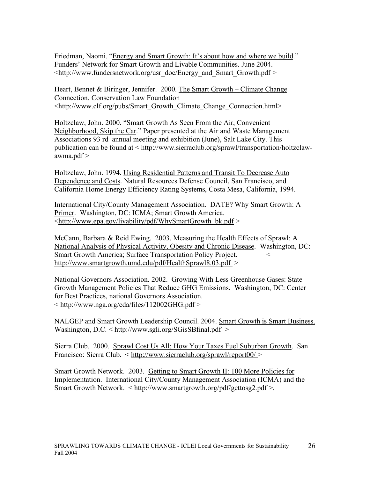Friedman, Naomi. "Energy and Smart Growth: It's about how and where we build." Funders' Network for Smart Growth and Livable Communities. June 2004.  $\lt$ http://www.fundersnetwork.org/usr\_doc/Energy\_and\_Smart\_Growth.pdf >

Heart, Bennet & Biringer, Jennifer. 2000. The Smart Growth – Climate Change Connection. Conservation Law Foundation <http://www.clf.org/pubs/Smart\_Growth\_Climate\_Change\_Connection.html>

Holtzclaw, John. 2000. "Smart Growth As Seen From the Air, Convenient Neighborhood, Skip the Car." Paper presented at the Air and Waste Management Associations 93 rd annual meeting and exhibition (June), Salt Lake City. This publication can be found at < http://www.sierraclub.org/sprawl/transportation/holtzclaw $a$ wma.pdf  $>$ 

Holtzclaw, John. 1994. Using Residential Patterns and Transit To Decrease Auto Dependence and Costs. Natural Resources Defense Council, San Francisco, and California Home Energy Efficiency Rating Systems, Costa Mesa, California, 1994.

International City/County Management Association. DATE? Why Smart Growth: A Primer. Washington, DC: ICMA; Smart Growth America.  $\langle \text{http://www.epa.gov/livability/pdf/WhySmartGrowth-bk.pdf} \rangle$ 

McCann, Barbara & Reid Ewing. 2003. Measuring the Health Effects of Sprawl: A National Analysis of Physical Activity, Obesity and Chronic Disease. Washington, DC: Smart Growth America; Surface Transportation Policy Project. < http://www.smartgrowth.umd.edu/pdf/HealthSprawl8.03.pdf >

National Governors Association. 2002. Growing With Less Greenhouse Gases: State Growth Management Policies That Reduce GHG Emissions. Washington, DC: Center for Best Practices, national Governors Association. < http://www.nga.org/cda/files/112002GHG.pdf >

NALGEP and Smart Growth Leadership Council. 2004. Smart Growth is Smart Business. Washington, D.C. < http://www.sgli.org/SGisSBfinal.pdf >

Sierra Club. 2000. Sprawl Cost Us All: How Your Taxes Fuel Suburban Growth. San Francisco: Sierra Club. < http://www.sierraclub.org/sprawl/report00/ >

Smart Growth Network. 2003. Getting to Smart Growth II: 100 More Policies for Implementation. International City/County Management Association (ICMA) and the Smart Growth Network. < http://www.smartgrowth.org/pdf/gettosg2.pdf >.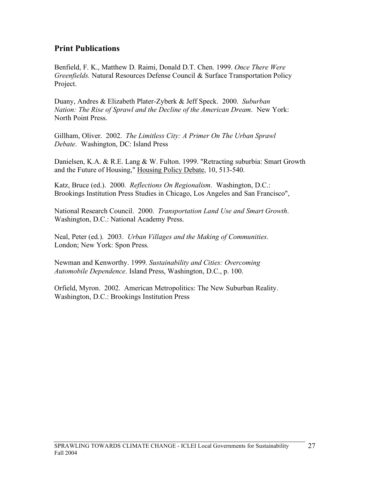# **Print Publications**

Benfield, F. K., Matthew D. Raimi, Donald D.T. Chen. 1999. *Once There Were Greenfields.* Natural Resources Defense Council & Surface Transportation Policy Project.

Duany, Andres & Elizabeth Plater-Zyberk & Jeff Speck. 2000. *Suburban Nation: The Rise of Sprawl and the Decline of the American Dream*. New York: North Point Press.

Gillham, Oliver. 2002. *The Limitless City: A Primer On The Urban Sprawl Debate*. Washington, DC: Island Press

Danielsen, K.A. & R.E. Lang & W. Fulton. 1999. "Retracting suburbia: Smart Growth and the Future of Housing," Housing Policy Debate, 10, 513-540.

Katz, Bruce (ed.). 2000. *Reflections On Regionalism*. Washington, D.C.: Brookings Institution Press Studies in Chicago, Los Angeles and San Francisco",

National Research Council. 2000. *Transportation Land Use and Smart Growth*. Washington, D.C.: National Academy Press.

Neal, Peter (ed.). 2003. *Urban Villages and the Making of Communities*. London; New York: Spon Press.

Newman and Kenworthy. 1999. *Sustainability and Cities: Overcoming Automobile Dependence*. Island Press, Washington, D.C., p. 100.

Orfield, Myron. 2002. American Metropolitics: The New Suburban Reality. Washington, D.C.: Brookings Institution Press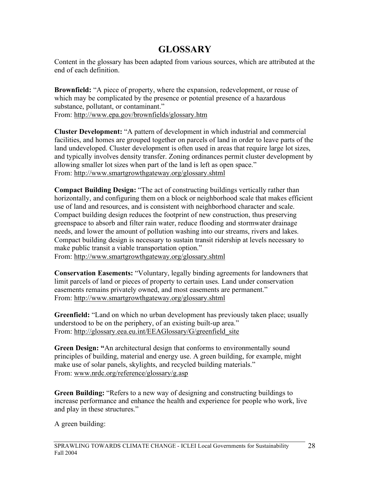# **GLOSSARY**

Content in the glossary has been adapted from various sources, which are attributed at the end of each definition.

**Brownfield:** "A piece of property, where the expansion, redevelopment, or reuse of which may be complicated by the presence or potential presence of a hazardous substance, pollutant, or contaminant." From: http://www.epa.gov/brownfields/glossary.htm

**Cluster Development:** "A pattern of development in which industrial and commercial facilities, and homes are grouped together on parcels of land in order to leave parts of the land undeveloped. Cluster development is often used in areas that require large lot sizes, and typically involves density transfer. Zoning ordinances permit cluster development by allowing smaller lot sizes when part of the land is left as open space." From: http://www.smartgrowthgateway.org/glossary.shtml

**Compact Building Design:** "The act of constructing buildings vertically rather than horizontally, and configuring them on a block or neighborhood scale that makes efficient use of land and resources, and is consistent with neighborhood character and scale. Compact building design reduces the footprint of new construction, thus preserving greenspace to absorb and filter rain water, reduce flooding and stormwater drainage needs, and lower the amount of pollution washing into our streams, rivers and lakes. Compact building design is necessary to sustain transit ridership at levels necessary to make public transit a viable transportation option."

From: http://www.smartgrowthgateway.org/glossary.shtml

**Conservation Easements:** "Voluntary, legally binding agreements for landowners that limit parcels of land or pieces of property to certain uses. Land under conservation easements remains privately owned, and most easements are permanent." From: http://www.smartgrowthgateway.org/glossary.shtml

**Greenfield:** "Land on which no urban development has previously taken place; usually understood to be on the periphery, of an existing built-up area." From: http://glossary.eea.eu.int/EEAGlossary/G/greenfield site

**Green Design: "**An architectural design that conforms to environmentally sound principles of building, material and energy use. A green building, for example, might make use of solar panels, skylights, and recycled building materials." From: www.nrdc.org/reference/glossary/g.asp

**Green Building:** "Refers to a new way of designing and constructing buildings to increase performance and enhance the health and experience for people who work, live and play in these structures."

A green building: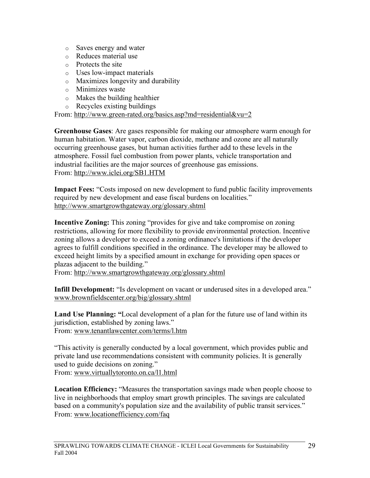- o Saves energy and water
- o Reduces material use
- o Protects the site
- o Uses low-impact materials
- o Maximizes longevity and durability
- o Minimizes waste
- o Makes the building healthier
- o Recycles existing buildings

From: http://www.green-rated.org/basics.asp?md=residential&vu=2

**Greenhouse Gases**: Are gases responsible for making our atmosphere warm enough for human habitation. Water vapor, carbon dioxide, methane and ozone are all naturally occurring greenhouse gases, but human activities further add to these levels in the atmosphere. Fossil fuel combustion from power plants, vehicle transportation and industrial facilities are the major sources of greenhouse gas emissions. From: http://www.iclei.org/SB1.HTM

**Impact Fees:** "Costs imposed on new development to fund public facility improvements required by new development and ease fiscal burdens on localities." http://www.smartgrowthgateway.org/glossary.shtml

**Incentive Zoning:** This zoning "provides for give and take compromise on zoning restrictions, allowing for more flexibility to provide environmental protection. Incentive zoning allows a developer to exceed a zoning ordinance's limitations if the developer agrees to fulfill conditions specified in the ordinance. The developer may be allowed to exceed height limits by a specified amount in exchange for providing open spaces or plazas adjacent to the building."

From: http://www.smartgrowthgateway.org/glossary.shtml

**Infill Development:** "Is development on vacant or underused sites in a developed area." www.brownfieldscenter.org/big/glossary.shtml

**Land Use Planning: "**Local development of a plan for the future use of land within its jurisdiction, established by zoning laws." From: www.tenantlawcenter.com/terms/l.htm

"This activity is generally conducted by a local government, which provides public and private land use recommendations consistent with community policies. It is generally used to guide decisions on zoning." From: www.virtuallytoronto.on.ca/l1.html

**Location Efficiency:** "Measures the transportation savings made when people choose to live in neighborhoods that employ smart growth principles. The savings are calculated based on a community's population size and the availability of public transit services." From: www.locationefficiency.com/faq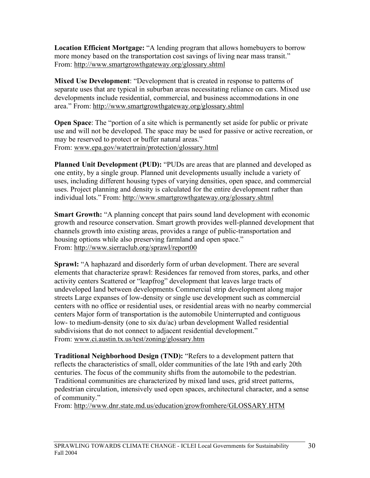**Location Efficient Mortgage:** "A lending program that allows homebuyers to borrow more money based on the transportation cost savings of living near mass transit." From: http://www.smartgrowthgateway.org/glossary.shtml

**Mixed Use Development**: "Development that is created in response to patterns of separate uses that are typical in suburban areas necessitating reliance on cars. Mixed use developments include residential, commercial, and business accommodations in one area." From: http://www.smartgrowthgateway.org/glossary.shtml

**Open Space**: The "portion of a site which is permanently set aside for public or private use and will not be developed. The space may be used for passive or active recreation, or may be reserved to protect or buffer natural areas." From: www.epa.gov/watertrain/protection/glossary.html

**Planned Unit Development (PUD):** "PUDs are areas that are planned and developed as one entity, by a single group. Planned unit developments usually include a variety of uses, including different housing types of varying densities, open space, and commercial uses. Project planning and density is calculated for the entire development rather than individual lots." From: http://www.smartgrowthgateway.org/glossary.shtml

**Smart Growth:** "A planning concept that pairs sound land development with economic growth and resource conservation. Smart growth provides well-planned development that channels growth into existing areas, provides a range of public-transportation and housing options while also preserving farmland and open space." From: http://www.sierraclub.org/sprawl/report00

**Sprawl:** "A haphazard and disorderly form of urban development. There are several elements that characterize sprawl: Residences far removed from stores, parks, and other activity centers Scattered or "leapfrog" development that leaves large tracts of undeveloped land between developments Commercial strip development along major streets Large expanses of low-density or single use development such as commercial centers with no office or residential uses, or residential areas with no nearby commercial centers Major form of transportation is the automobile Uninterrupted and contiguous low- to medium-density (one to six du/ac) urban development Walled residential subdivisions that do not connect to adjacent residential development." From: www.ci.austin.tx.us/test/zoning/glossary.htm

**Traditional Neighborhood Design (TND):** "Refers to a development pattern that reflects the characteristics of small, older communities of the late 19th and early 20th centuries. The focus of the community shifts from the automobile to the pedestrian. Traditional communities are characterized by mixed land uses, grid street patterns, pedestrian circulation, intensively used open spaces, architectural character, and a sense of community."

From: http://www.dnr.state.md.us/education/growfromhere/GLOSSARY.HTM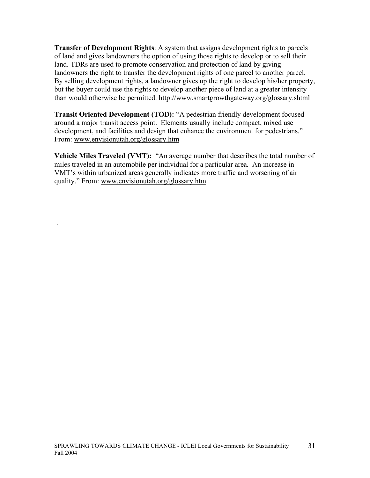**Transfer of Development Rights**: A system that assigns development rights to parcels of land and gives landowners the option of using those rights to develop or to sell their land. TDRs are used to promote conservation and protection of land by giving landowners the right to transfer the development rights of one parcel to another parcel. By selling development rights, a landowner gives up the right to develop his/her property, but the buyer could use the rights to develop another piece of land at a greater intensity than would otherwise be permitted. http://www.smartgrowthgateway.org/glossary.shtml

**Transit Oriented Development (TOD):** "A pedestrian friendly development focused around a major transit access point. Elements usually include compact, mixed use development, and facilities and design that enhance the environment for pedestrians." From: www.envisionutah.org/glossary.htm

**Vehicle Miles Traveled (VMT):** "An average number that describes the total number of miles traveled in an automobile per individual for a particular area. An increase in VMT's within urbanized areas generally indicates more traffic and worsening of air quality." From: www.envisionutah.org/glossary.htm

.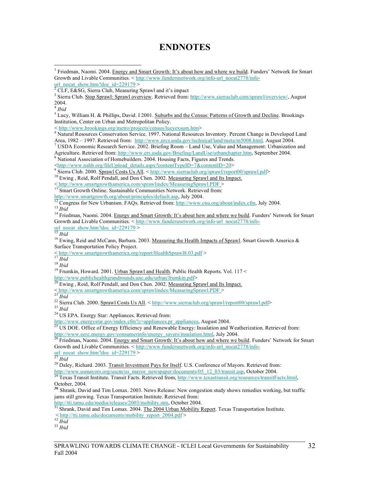# **ENDNOTES**

Institution, Center on Urban and Metropolitan Policy.

<sup>&</sup>lt; http://www.brookings.org/metro/projects/census/lucyexsum.htm> *<sup>6</sup>* Natural Resources Conservation Service. 1997. National Resources Inventory. Percent Change in Developed Land Area, 1982 – 1997. Retrieved from: http://www.nrcs.usda.gov/technical/land/meta/m5008.html, August 2004.<br><sup>7</sup> USDA Economic Research Service. 2002. Briefing Room – Land Use, Value and Management: Urbanization and

Agriculture. Retrieved from: http://www.ers.usda.gov/Briefing/LandUse/urbanchapter.htm, September 2004. 8 National Association of Homebuilders. 2004. Housing Facts, Figures and Trends.

 $\frac{\text{thtp://www.nahb.org/fileUpload_Cetails_aspx?contentTypeID=7&contentID=20>}{9}$  Sierra Club. 2000. Sprawl Costs Us All. < http://www.sierraclub.org/sprawl/report00/sprawl.pdf>
<sup>10</sup> Ewing, Reid, Rolf Pendall, and Don Chen. 2002. <u>Measuring Sprawl and Its Impact</u>

<sup>&</sup>lt; http://www.smartgrowthamerica.com/sprawlindex/MeasuringSprawl.PDF <sup>&</sup>gt; <sup>11</sup> Smart Growth Online. Sustainable Communities Network. Retrieved from:

<sup>12</sup> Congress for New Urbanism. FAQs. Retrieved from:  $\frac{h}{h}$ ttp://www.cnu.org/about/index.cfm, July 2004.<br><sup>13</sup> *Ibid*<br><sup>14</sup> Friedman, Naomi. 2004. Energy and Smart Growth: It's about how and where we build. Funders' Net

Growth and Livable Communities. < http://www.fundersnetwork.org/info-url\_nocat2778/info-url\_nocat\_show.htm?doc\_id=229179 >

<sup>16</sup> Ewing, Reid and McCann, Barbara. 2003. Measuring the Health Impacts of Sprawl. Smart Growth America & Surface Transportation Policy Project.

<sup>17</sup> *Ibid*<br><sup>18</sup> *Ibid*<br><sup>18</sup> *Ibid*<br><sup>19</sup> Frumkin, Howard. 2001. <u>Urban Sprawl and Health</u>. Public Health Reports. Vol. 117 <<br><u>http://www.publichealthgrandrounds.unc.edu/urban/frumkin.pdf><br><sup>20</sup> Ewing. Reid, Reports. Vol. 11</u>

 $\frac{1}{20}$  Ewing, Reid, Rolf Pendall, and Don Chen. 2002. <u>Measuring Sprawl and Its Impact.</u><br>
< http://www.smartgrowthamerica.com/sprawlindex/Measuring Sprawl. PDF >

21 Ibid<br>
22 Sierra Club. 2000. Sprawl Costs Us All. < http://www.sierraclub.org/sprawl/report00/sprawl.pdf><br>
23 Ibid<br>
<sup>24</sup> US EPA. Energy Star: Appliances. Retrieved from:

http://www.energystar.gov/index.cfm?c=appliances.pr\_appliances, August 2004.<br><sup>25</sup> US DOE. Office of Energy Efficiency and Renewable Energy: Insulation and Weatherization. Retrieved from: http://www.eere.energy.gov/consumerinfo/energy\_savers/insulation.html, July 2004.<br><sup>26</sup> Friedman, Naomi. 2004. <u>Energy and Smart Growth: It's about how and where we build</u>. Funders' Network for Smart

Growth and Livable Communities. < http://www.fundersnetwork.org/info-url\_nocat2778/info-url\_nocat\_show.htm?doc\_id=229179 >

<sup>27</sup> *Ibid* 28 Daley, Richard. 2003. Transit Investment Pays for Itself. U.S. Conference of Mayors. Retrieved from: http://www.usmayors.org/uscm/us\_mayor\_newspaper/documents/05\_12\_03/transit.asp, October 2004. <sup>29</sup> Texas Transit Institute. Transit Facts. Retrieved from, http://www.texastransit.org/resources/transitFacts.html,

October, 2004. **<sup>30</sup>** Shrank, David and Tim Lomax. 2003. News Release: New congestion study shows remedies working, but traffic

jams still growing. Texas Transportation Institute. Retrieved from:<br>http://tti.tamu.edu/media/releases/2003/mobility.stm, October 2004.

Shrank, David and Tim Lomax. 2004. The 2004 Urban Mobility Report. Texas Transportation Institute.

<sup>&</sup>lt; http://tti.tamu.edu/documents/mobility\_report\_2004.pdf <sup>&</sup>gt; <sup>32</sup> *Ibid* <sup>33</sup> *Ibid*

<sup>&</sup>lt;sup>1</sup> Friedman, Naomi. 2004. Energy and Smart Growth: It's about how and where we build. Funders' Network for Smart Growth and Livable Communities. < http://www.fundersnetwork.org/info-url\_nocat2778/info-url\_nocat\_show.htm?doc\_id=229179 >

<sup>&</sup>lt;sup>2</sup> CLF, E&SG, Sierra Club, Measuring Sprawl and it's impact  ${}^{3}$  Sierra Club. Stop Sprawl: Sprawl: Sprawl overview. Retrieved from: http://www.sierraclub.com/sprawl/overview/, August 2004.<br><sup>4</sup> *Ibid*<br><sup>5</sup> Lucy, William H. & Phillips, David. I 2001. <u>Suburbs and the Census: Patterns of Growth and Decline</u>. Brookings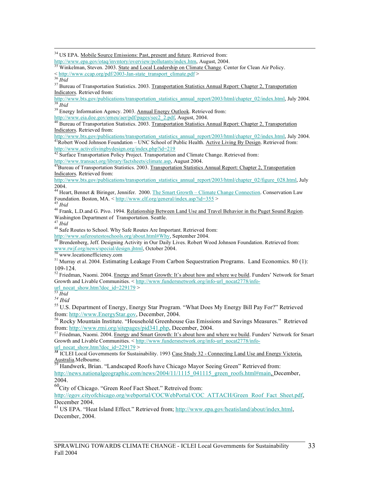<sup>34</sup> US EPA. Mobile Source Emissions: Past, present and future. Retrieved from:

http://www.epa.gov/otaq/invntory/overview/pollutants/index.htm, August, 2004.<br>
<sup>35</sup> Winkelman, Steven. 2003. <u>State and Local Leadership on Climate Change</u>. Center for Clean Air Policy.<br>  $\langle \frac{\text{http://www.ccap.org/pdf/2003-Jan-state\_transport\_climate.pdf}}{\text{$ 

<sup>37</sup> Bureau of Transportation Statistics. 2003. Transportation Statistics Annual Report: Chapter 2, Transportation Indicators. Retrieved from:<br>http://www.bts.gov/publications/transportation statistics annual report/2003/html/chapter 02/index.html, July 2004.

http://www.bts.gov/publications/transport/2003/html<br><sup>39</sup> Energy Information Agency. 2003. <u>Annual Energy Outlook</u>. Retrieved from:

http://www.eia.doe.gov/emeu/aer/pdf/pages/sec2\_2.pdf, August, 2004.<br>
<sup>40</sup> Bureau of Transportation Statistics. 2003. <u>Transportation Statistics Annual Report: Chapter 2, Transportation</u> Indicators. Retrieved from:

http://www.bts.gov/publications/transportation\_statistics\_annual\_report/2003/html/chapter\_02/index.html, July 2004.<br><sup>41</sup>Robert Wood Johnson Foundation – UNC School of Public Health. <u>Active Living By Design</u>. Retrieved fro

http://www.activelivingbydesign.org/index.php?id=219<br><sup>42</sup> Surface Transportation Policy Project. Transportation and Climate Change. Retrieved from:

http://www.transact.org/library/factsheets/climate.asp, August 2004.<br><sup>43</sup>Bureau of Transportation Statistics. 2003. <u>Transportation Statistics Annual Report: Chapter 2, Transportation</u> Indicators. Retrieved from:

http://www.bts.gov/publications/transportation\_statistics\_annual\_report/2003/html/chapter\_02/figure\_028.html, July

2004.<br><sup>44</sup> Heart, Bennet & Biringer, Jennifer. 2000. <u>The Smart Growth – Climate Change Connection</u>. Conservation Law<br>Foundation. Boston, MA. < http://www.clf.org/general/index.asp?id=355 >

<sup>45</sup> *Ibid*<br><sup>46</sup> Frank, L.D.and G. Pivo. 1994. <u>Relationship Between Land Use and Travel Behavior in the Puget Sound Region</u>.<br>Washington Department of Transportation. Seattle.

<sup>47</sup> *Ibid*<br><sup>48</sup> Safe Routes to School. Why Safe Routes Are Important. Retrieved from:<br>http://www.saferoutestoschools.org/about.html#Why, September 2004.

Brendenberg, Jeff. Designing Activity in Our Daily Lives. Robert Wood Johnson Foundation. Retrieved from: www.rwjf.org/news/special/design.jhtml, October 2004. <sup>50</sup> www.locationefficiency.com

<sup>51</sup> Murray et al. 2004. Estimating Leakage From Carbon Sequestration Programs. Land Economics. 80 (1): 109-124.<br><sup>52</sup> Friedman, Naomi. 2004. Energy and Smart Growth: It's about how and where we build. Funders' Network for Smart

Growth and Livable Communities.  $\leq$  http://www.fundersnetwork.org/info-url\_nocat2778/info-<br>url\_nocat\_show.htm?doc\_id=229179 ><br> $^{53}$  Tbid<br> $^{54}$  Tbid

<sup>55</sup> U.S. Department of Energy, Energy Star Program. "What Does My Energy Bill Pay For?" Retrieved

from: http://www.EnergyStar.gov, December, 2004.<br><sup>56</sup> Rocky Mountain Institute. "Household Greenhouse Gas Emissions and Savings Measures." Retrieved<br>from: http://www.rmi.org/sitepages/pid341.php, December, 2004.

<sup>57</sup> Friedman, Naomi. 2004. Energy and Smart Growth: It's about how and where we build. Funders' Network for Smart Growth and Livable Communities.  $\leq$  http://www.fundersnetwork.org/info-url\_nocat2778/info-url\_nocat\_20179 >

urlinocate Energy Victoria, **58** ICLEI Local Governments for Sustainability. 1993 Case Study 32 - Connecting Land Use and Energy Victoria,

Australia.Melbourne.<br><sup>59</sup> Handwerk, Brian. "Landscaped Roofs have Chicago Mayor Seeing Green" Retrieved from: http://news.nationalgeographic.com/news/2004/11/1115\_041115\_green\_roofs.html#main, December,

2004.<br><sup>60</sup>City of Chicago. "Green Roof Fact Sheet." Retreived from:

http://egov.cityofchicago.org/webportal/COCWebPortal/COC\_ATTACH/Green\_Roof\_Fact\_Sheet.pdf,

December 2004.<br><sup>61</sup> US EPA. "Heat Island Effect." Retrieved from; http://www.epa.gov/heatisland/about/index.html, December, 2004.